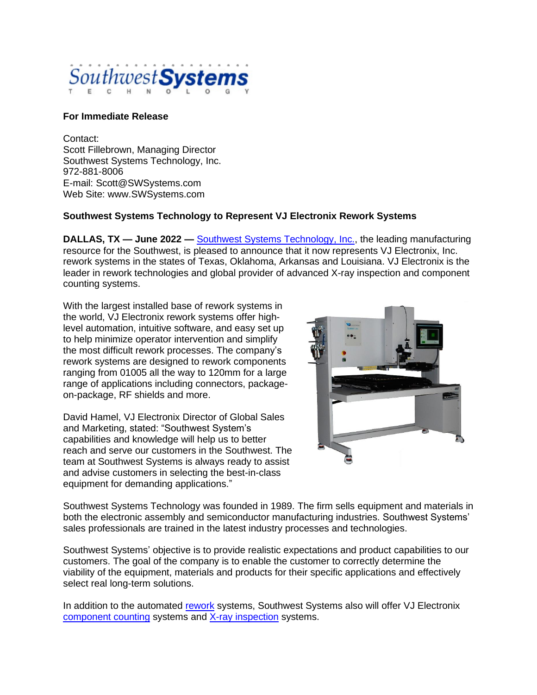

## **For Immediate Release**

Contact: Scott Fillebrown, Managing Director Southwest Systems Technology, Inc. 972-881-8006 E-mail: Scott@SWSystems.com Web Site: www.SWSystems.com

## **Southwest Systems Technology to Represent VJ Electronix Rework Systems**

**DALLAS, TX — June 2022 — [Southwest Systems Technology, Inc.,](http://www.swsystems.com/) the leading manufacturing** resource for the Southwest, is pleased to announce that it now represents VJ Electronix, Inc. rework systems in the states of Texas, Oklahoma, Arkansas and Louisiana. VJ Electronix is the leader in rework technologies and global provider of advanced X-ray inspection and component counting systems.

With the largest installed base of rework systems in the world, VJ Electronix rework systems offer highlevel automation, intuitive software, and easy set up to help minimize operator intervention and simplify the most difficult rework processes. The company's rework systems are designed to rework components ranging from 01005 all the way to 120mm for a large range of applications including connectors, packageon-package, RF shields and more.

David Hamel, VJ Electronix Director of Global Sales and Marketing, stated: "Southwest System's capabilities and knowledge will help us to better reach and serve our customers in the Southwest. The team at Southwest Systems is always ready to assist and advise customers in selecting the best-in-class equipment for demanding applications."



Southwest Systems Technology was founded in 1989. The firm sells equipment and materials in both the electronic assembly and semiconductor manufacturing industries. Southwest Systems' sales professionals are trained in the latest industry processes and technologies.

Southwest Systems' objective is to provide realistic expectations and product capabilities to our customers. The goal of the company is to enable the customer to correctly determine the viability of the equipment, materials and products for their specific applications and effectively select real long-term solutions.

In addition to the automated [rework](https://www.vjelectronix.com/rework/) systems, Southwest Systems also will offer VJ Electronix [component counting](https://www.vjelectronix.com/component-counting/) systems and [X-ray inspection](https://www.vjelectronix.com/x-ray/apogee/) systems.